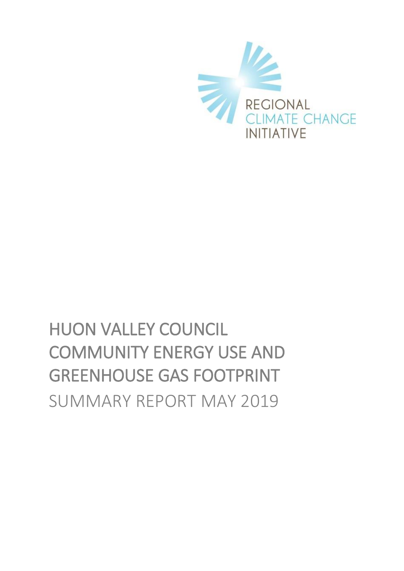

# HUON VALLEY COUNCIL COMMUNITY ENERGY USE AND GREENHOUSE GAS FOOTPRINT SUMMARY REPORT MAY 2019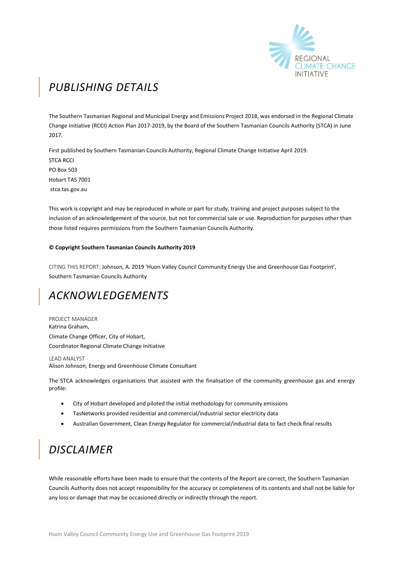

# *PUBLISHING DETAILS*

The Southern Tasmanian Regional and Municipal Energy and Emissions Project 2018, was endorsed in the Regional Climate Change Initiative (RCCI) Action Plan 2017-2019, by the Board of the Southern Tasmanian Councils Authority (STCA) in June 2017.

First published by Southern Tasmanian Councils Authority, Regional Climate Change Initiative April 2019. STCA RCCI PO Box 503 Hobart TAS 7001 stca.tas.gov.au

This work is copyright and may be reproduced in whole or part for study, training and project purposes subject to the inclusion of an acknowledgement of the source, but not for commercial sale or use. Reproduction for purposes other than those listed requires permissions from the Southern Tasmanian Councils Authority.

#### **© Copyright Southern Tasmanian Councils Authority 2019**

CITING THIS REPORT: Johnson, A. 2019 'Huon Valley Council Community Energy Use and Greenhouse Gas Footprint', Southern Tasmanian Councils Authority

### *ACKNOWLEDGEMENTS*

PROJECT MANAGER Katrina Graham, Climate Change Officer, City of Hobart, Coordinator Regional Climate Change Initiative

LEAD ANALYST Alison Johnson, Energy and Greenhouse Climate Consultant

The STCA acknowledges organisations that assisted with the finalisation of the community greenhouse gas and energy profile:

- City of Hobart developed and piloted the initial methodology for community emissions
- TasNetworks provided residential and commercial/industrial sector electricity data
- Australian Government, Clean Energy Regulator for commercial/industrial data to fact check final results

## *DISCLAIMER*

While reasonable efforts have been made to ensure that the contents of the Report are correct, the Southern Tasmanian Councils Authority does not accept responsibility for the accuracy or completeness of its contents and shall not be liable for any loss or damage that may be occasioned directly or indirectly through the report.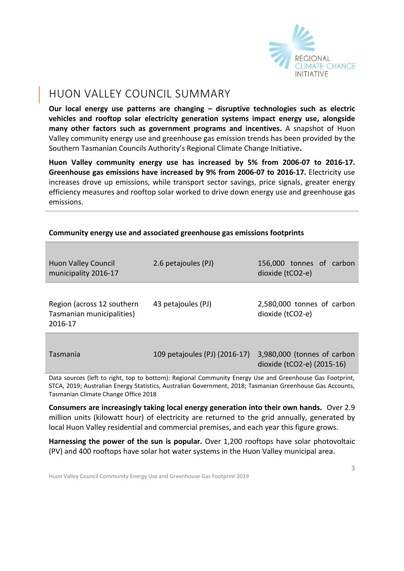

### HUON VALLEY COUNCIL SUMMARY

**Our local energy use patterns are changing – disruptive technologies such as electric vehicles and rooftop solar electricity generation systems impact energy use, alongside many other factors such as government programs and incentives.** A snapshot of Huon Valley community energy use and greenhouse gas emission trends has been provided by the Southern Tasmanian Councils Authority's Regional Climate Change Initiative**.** 

**Huon Valley community energy use has increased by 5% from 2006-07 to 2016-17. Greenhouse gas emissions have increased by 9% from 2006-07 to 2016-17.** Electricity use increases drove up emissions, while transport sector savings, price signals, greater energy efficiency measures and rooftop solar worked to drive down energy use and greenhouse gas emissions.

| <b>Huon Valley Council</b><br>municipality 2016-17                                                                                                                                                                    | 2.6 petajoules (PJ)           | 156,000 tonnes of carbon<br>dioxide (tCO2-e)              |  |
|-----------------------------------------------------------------------------------------------------------------------------------------------------------------------------------------------------------------------|-------------------------------|-----------------------------------------------------------|--|
| Region (across 12 southern<br>Tasmanian municipalities)<br>2016-17                                                                                                                                                    | 43 petajoules (PJ)            | 2,580,000 tonnes of carbon<br>dioxide (tCO2-e)            |  |
| Tasmania                                                                                                                                                                                                              | 109 petajoules (PJ) (2016-17) | 3,980,000 (tonnes of carbon<br>dioxide (tCO2-e) (2015-16) |  |
| Data sources (left to right, top to bottom): Regional Community Energy Use and Greenhouse Gas Footprint,<br>STCA, 2019; Australian Energy Statistics, Australian Government, 2018; Tasmanian Greenhouse Gas Accounts, |                               |                                                           |  |

### **Community energy use and associated greenhouse gas emissions footprints**

**Consumers are increasingly taking local energy generation into their own hands.** Over 2.9 million units (kilowatt hour) of electricity are returned to the grid annually, generated by local Huon Valley residential and commercial premises, and each year this figure grows.

**Harnessing the power of the sun is popular.** Over 1,200 rooftops have solar photovoltaic (PV) and 400 rooftops have solar hot water systems in the Huon Valley municipal area.

Tasmanian Climate Change Office 2018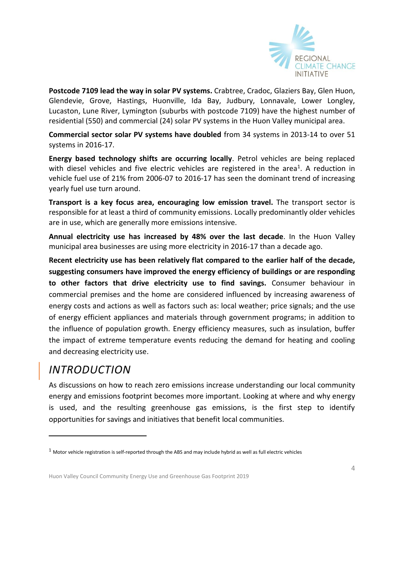

**Postcode 7109 lead the way in solar PV systems.** Crabtree, Cradoc, Glaziers Bay, Glen Huon, Glendevie, Grove, Hastings, Huonville, Ida Bay, Judbury, Lonnavale, Lower Longley, Lucaston, Lune River, Lymington (suburbs with postcode 7109) have the highest number of residential (550) and commercial (24) solar PV systems in the Huon Valley municipal area.

**Commercial sector solar PV systems have doubled** from 34 systems in 2013-14 to over 51 systems in 2016-17.

**Energy based technology shifts are occurring locally**. Petrol vehicles are being replaced with diesel vehicles and five electric vehicles are registered in the area<sup>1</sup>. A reduction in vehicle fuel use of 21% from 2006-07 to 2016-17 has seen the dominant trend of increasing yearly fuel use turn around.

**Transport is a key focus area, encouraging low emission travel.** The transport sector is responsible for at least a third of community emissions. Locally predominantly older vehicles are in use, which are generally more emissions intensive.

**Annual electricity use has increased by 48% over the last decade**. In the Huon Valley municipal area businesses are using more electricity in 2016-17 than a decade ago.

**Recent electricity use has been relatively flat compared to the earlier half of the decade, suggesting consumers have improved the energy efficiency of buildings or are responding to other factors that drive electricity use to find savings.** Consumer behaviour in commercial premises and the home are considered influenced by increasing awareness of energy costs and actions as well as factors such as: local weather; price signals; and the use of energy efficient appliances and materials through government programs; in addition to the influence of population growth. Energy efficiency measures, such as insulation, buffer the impact of extreme temperature events reducing the demand for heating and cooling and decreasing electricity use.

### *INTRODUCTION*

-

As discussions on how to reach zero emissions increase understanding our local community energy and emissions footprint becomes more important. Looking at where and why energy is used, and the resulting greenhouse gas emissions, is the first step to identify opportunities for savings and initiatives that benefit local communities.

 $1$  Motor vehicle registration is self-reported through the ABS and may include hybrid as well as full electric vehicles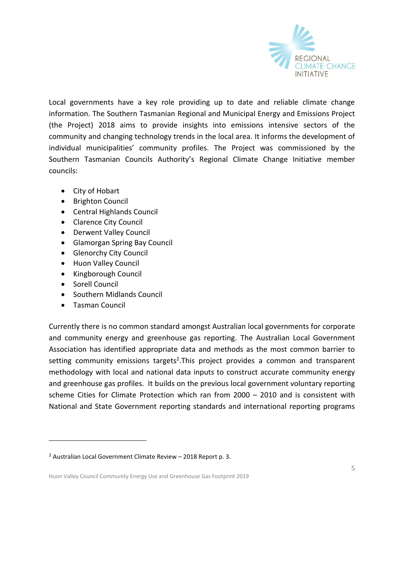

Local governments have a key role providing up to date and reliable climate change information. The Southern Tasmanian Regional and Municipal Energy and Emissions Project (the Project) 2018 aims to provide insights into emissions intensive sectors of the community and changing technology trends in the local area. It informs the development of individual municipalities' community profiles. The Project was commissioned by the Southern Tasmanian Councils Authority's Regional Climate Change Initiative member councils:

- City of [Hobart](http://www.hobartcity.com.au/)
- **•** [Brighton Council](http://www.brighton.tas.gov.au/)
- [Central Highlands Council](http://www.centralhighlands.tas.gov.au/site/page.cfm)
- [Clarence City Council](http://www.ccc.tas.gov.au/)
- [Derwent Valley Council](http://www.derwentvalley.tas.gov.au/)
- [Glamorgan Spring Bay Council](http://www.gsbc.tas.gov.au/site/page.cfm)
- [Glenorchy City Council](http://www.gcc.tas.gov.au/)
- [Huon Valley Council](http://www.huonvalley.tas.gov.au/)
- [Kingborough Council](http://www.kingborough.tas.gov.au/)
- [Sorell Council](http://www.sorell.tas.gov.au/)
- [Southern Midlands Council](http://www.southernmidlands.tas.gov.au/site/page.cfm)
- [Tasman Council](http://www.tasman.tas.gov.au/site/page.cfm)

-

Currently there is no common standard amongst Australian local governments for corporate and community energy and greenhouse gas reporting. The Australian Local Government Association has identified appropriate data and methods as the most common barrier to setting community emissions targets<sup>2</sup>. This project provides a common and transparent methodology with local and national data inputs to construct accurate community energy and greenhouse gas profiles. It builds on the previous local government voluntary reporting scheme Cities for Climate Protection which ran from 2000 – 2010 and is consistent with National and State Government reporting standards and international reporting programs

<sup>2</sup> Australian Local Government Climate Review – 2018 Report p. 3.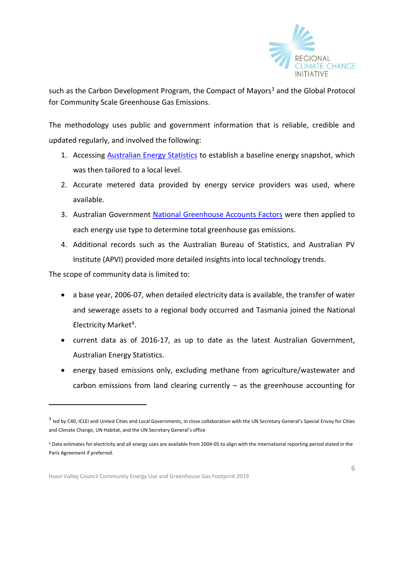

such as the Carbon Development Program, the Compact of Mayors<sup>3</sup> and the Global Protocol for Community Scale Greenhouse Gas Emissions.

The methodology uses public and government information that is reliable, credible and updated regularly, and involved the following:

- 1. Accessing **[Australian Energy Statistics](https://industry.gov.au/Office-of-the-Chief-Economist/Publications/Pages/Australian-energy-statistics.aspx)** to establish a baseline energy snapshot, which was then tailored to a local level.
- 2. Accurate metered data provided by energy service providers was used, where available.
- 3. Australian Government [National Greenhouse Accounts Factors](http://www.environment.gov.au/climate-change/climate-science-data/greenhouse-gas-measurement/publications/national-greenhouse-accounts-factors-july-2017) were then applied to each energy use type to determine total greenhouse gas emissions.
- 4. Additional records such as the Australian Bureau of Statistics, and Australian PV Institute (APVI) provided more detailed insights into local technology trends.

The scope of community data is limited to:

- a base year, 2006-07, when detailed electricity data is available, the transfer of water and sewerage assets to a regional body occurred and Tasmania joined the National Electricity Market<sup>4</sup>.
- current data as of 2016-17, as up to date as the latest Australian Government, Australian Energy Statistics.
- energy based emissions only, excluding methane from agriculture/wastewater and carbon emissions from land clearing currently  $-$  as the greenhouse accounting for

<sup>&</sup>lt;sup>3</sup> led by C40, ICLEI and United Cities and Local Governments, in close collaboration with the UN Secretary General's Special Envoy for Cities and Climate Change, UN Habitat, and the UN Secretary General's office

<sup>4</sup> Data estimates for electricity and all energy uses are available from 2004-05 to align with the international reporting period stated in the Paris Agreement if preferred.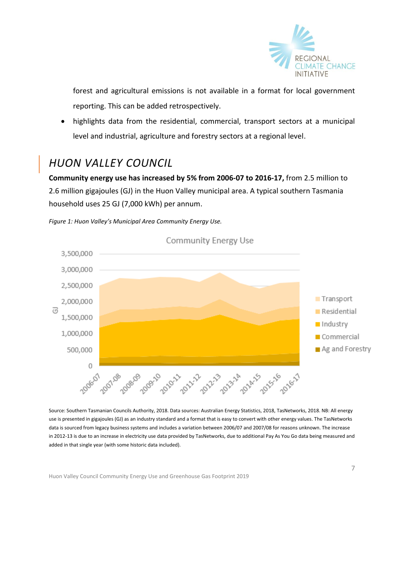

forest and agricultural emissions is not available in a format for local government reporting. This can be added retrospectively.

 highlights data from the residential, commercial, transport sectors at a municipal level and industrial, agriculture and forestry sectors at a regional level.

# *HUON VALLEY COUNCIL*

**Community energy use has increased by 5% from 2006-07 to 2016-17,** from 2.5 million to 2.6 million gigajoules (GJ) in the Huon Valley municipal area. A typical southern Tasmania household uses 25 GJ (7,000 kWh) per annum.



*Figure 1: Huon Valley's Municipal Area Community Energy Use.* 

Source: Southern Tasmanian Councils Authority, 2018. Data sources: Australian Energy Statistics, 2018, TasNetworks, 2018. NB: All energy use is presented in gigajoules (GJ) as an industry standard and a format that is easy to convert with other energy values. The TasNetworks data is sourced from legacy business systems and includes a variation between 2006/07 and 2007/08 for reasons unknown. The increase in 2012-13 is due to an increase in electricity use data provided by TasNetworks, due to additional Pay As You Go data being measured and added in that single year (with some historic data included).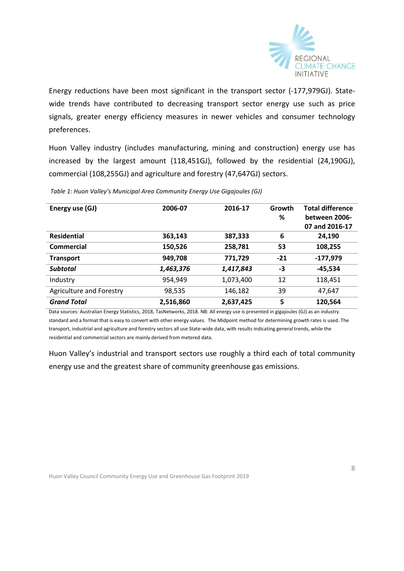

Energy reductions have been most significant in the transport sector (-177,979GJ). Statewide trends have contributed to decreasing transport sector energy use such as price signals, greater energy efficiency measures in newer vehicles and consumer technology preferences.

Huon Valley industry (includes manufacturing, mining and construction) energy use has increased by the largest amount (118,451GJ), followed by the residential (24,190GJ), commercial (108,255GJ) and agriculture and forestry (47,647GJ) sectors.

| Energy use (GJ)          | 2006-07   | 2016-17   | Growth<br>% | <b>Total difference</b><br>between 2006- |
|--------------------------|-----------|-----------|-------------|------------------------------------------|
|                          |           |           |             | 07 and 2016-17                           |
| <b>Residential</b>       | 363,143   | 387,333   | 6           | 24,190                                   |
| Commercial               | 150,526   | 258,781   | 53          | 108,255                                  |
| <b>Transport</b>         | 949,708   | 771,729   | $-21$       | $-177,979$                               |
| <b>Subtotal</b>          | 1,463,376 | 1,417,843 | -3          | $-45,534$                                |
| Industry                 | 954,949   | 1,073,400 | 12          | 118,451                                  |
| Agriculture and Forestry | 98,535    | 146,182   | 39          | 47,647                                   |
| <b>Grand Total</b>       | 2,516,860 | 2,637,425 | 5           | 120,564                                  |

*Table 1: Huon Valley's Municipal Area Community Energy Use Gigajoules (GJ)*

Data sources: Australian Energy Statistics, 2018, TasNetworks, 2018. NB: All energy use is presented in gigajoules (GJ) as an industry standard and a format that is easy to convert with other energy values. The Midpoint method for determining growth rates is used. The transport, industrial and agriculture and forestry sectors all use State-wide data, with results indicating general trends, while the residential and commercial sectors are mainly derived from metered data.

Huon Valley's industrial and transport sectors use roughly a third each of total community energy use and the greatest share of community greenhouse gas emissions.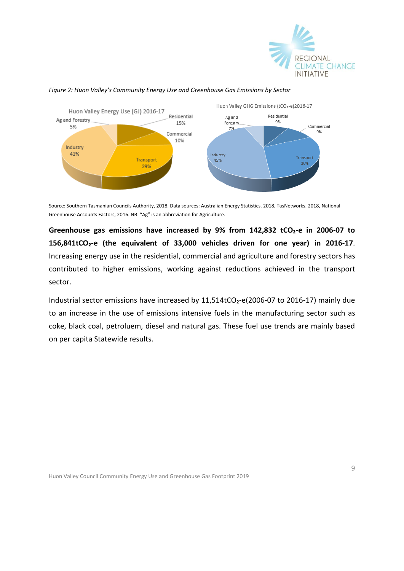



#### *Figure 2: Huon Valley's Community Energy Use and Greenhouse Gas Emissions by Sector*

Source: Southern Tasmanian Councils Authority, 2018. Data sources: Australian Energy Statistics, 2018, TasNetworks, 2018, National Greenhouse Accounts Factors, 2016. NB: "Ag" is an abbreviation for Agriculture.

**Greenhouse gas emissions have increased by 9% from 142,832 tCO₂-e in 2006-07 to 156,841tCO₂-e (the equivalent of 33,000 vehicles driven for one year) in 2016-17**. Increasing energy use in the residential, commercial and agriculture and forestry sectors has contributed to higher emissions, working against reductions achieved in the transport sector.

Industrial sector emissions have increased by 11,514tCO<sub>2</sub>-e(2006-07 to 2016-17) mainly due to an increase in the use of emissions intensive fuels in the manufacturing sector such as coke, black coal, petroluem, diesel and natural gas. These fuel use trends are mainly based on per capita Statewide results.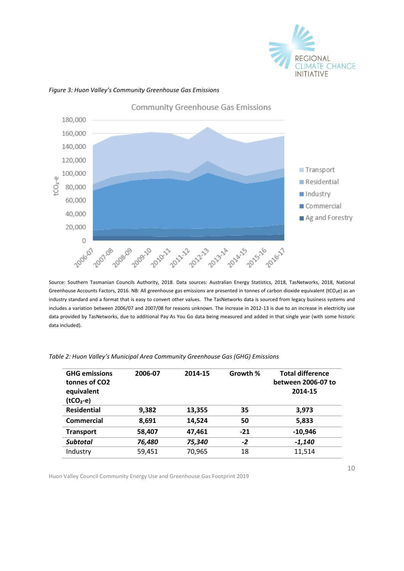



### *Figure 3: Huon Valley's Community Greenhouse Gas Emissions*

Source: Southern Tasmanian Councils Authority, 2018. Data sources: Australian Energy Statistics, 2018, TasNetworks, 2018, National Greenhouse Accounts Factors, 2016. NB: All greenhouse gas emissions are presented in tonnes of carbon dioxide equivalent (tCO₂e) as an industry standard and a format that is easy to convert other values.The TasNetworks data is sourced from legacy business systems and includes a variation between 2006/07 and 2007/08 for reasons unknown. The increase in 2012-13 is due to an increase in electricity use data provided by TasNetworks, due to additional Pay As You Go data being measured and added in that single year (with some historic data included).

| <b>GHG emissions</b><br>tonnes of CO2<br>equivalent<br>$(tCO2-e)$ | 2006-07 | 2014-15 | Growth % | <b>Total difference</b><br>between 2006-07 to<br>2014-15 |
|-------------------------------------------------------------------|---------|---------|----------|----------------------------------------------------------|
| <b>Residential</b>                                                | 9,382   | 13,355  | 35       | 3,973                                                    |
| <b>Commercial</b>                                                 | 8,691   | 14,524  | 50       | 5,833                                                    |
| <b>Transport</b>                                                  | 58,407  | 47,461  | $-21$    | $-10,946$                                                |
| <b>Subtotal</b>                                                   | 76,480  | 75,340  | $-2$     | $-1,140$                                                 |
| Industry                                                          | 59,451  | 70,965  | 18       | 11,514                                                   |
|                                                                   |         |         |          |                                                          |

*Table 2: Huon Valley's Municipal Area Community Greenhouse Gas (GHG) Emissions*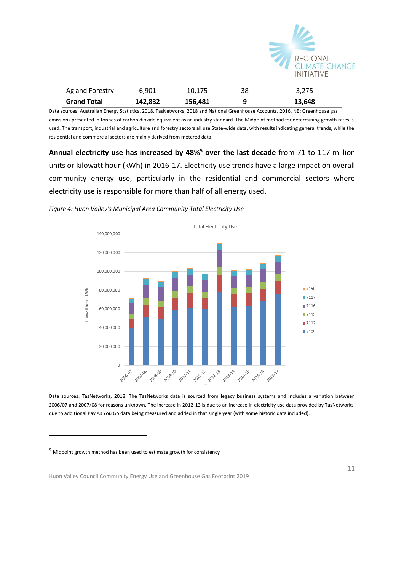

| Ag and Forestry    | 6,901   | 10,175  | 38 | 3.275  |
|--------------------|---------|---------|----|--------|
| <b>Grand Total</b> | 142,832 | 156,481 |    | 13,648 |

Data sources: Australian Energy Statistics, 2018, TasNetworks, 2018 and National Greenhouse Accounts, 2016. NB: Greenhouse gas emissions presented in tonnes of carbon dioxide equivalent as an industry standard. The Midpoint method for determining growth rates is used. The transport, industrial and agriculture and forestry sectors all use State-wide data, with results indicating general trends, while the residential and commercial sectors are mainly derived from metered data.

**Annual electricity use has increased by 48%<sup>5</sup> over the last decade** from 71 to 117 million units or kilowatt hour (kWh) in 2016-17. Electricity use trends have a large impact on overall community energy use, particularly in the residential and commercial sectors where electricity use is responsible for more than half of all energy used.





Data sources: TasNetworks, 2018. The TasNetworks data is sourced from legacy business systems and includes a variation between 2006/07 and 2007/08 for reasons unknown. The increase in 2012-13 is due to an increase in electricity use data provided by TasNetworks, due to additional Pay As You Go data being measured and added in that single year (with some historic data included).

<sup>5</sup> Midpoint growth method has been used to estimate growth for consistency

-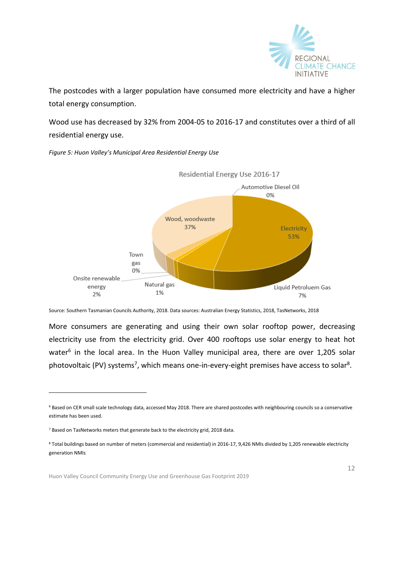

Liquid Petroluem Gas

7%

The postcodes with a larger population have consumed more electricity and have a higher total energy consumption.

Wood use has decreased by 32% from 2004-05 to 2016-17 and constitutes over a third of all residential energy use.

Residential Energy Use 2016-17 Automotive Diesel Oil 0% Wood, woodwaste 37% Electricity 53%

*Figure 5: Huon Valley's Municipal Area Residential Energy Use*

Town gas 0%

Onsite renewable

energy

2%

Natural gas

1%

More consumers are generating and using their own solar rooftop power, decreasing electricity use from the electricity grid. Over 400 rooftops use solar energy to heat hot water<sup>6</sup> in the local area. In the Huon Valley municipal area, there are over 1,205 solar photovoltaic (PV) systems<sup>7</sup>, which means one-in-every-eight premises have access to solar<sup>8</sup>.

Source: Southern Tasmanian Councils Authority, 2018. Data sources: Australian Energy Statistics, 2018, TasNetworks, 2018

<sup>6</sup> Based on CER small scale technology data, accessed May 2018. There are shared postcodes with neighbouring councils so a conservative estimate has been used.

<sup>7</sup> Based on TasNetworks meters that generate back to the electricity grid, 2018 data.

<sup>8</sup> Total buildings based on number of meters (commercial and residential) in 2016-17, 9,426 NMIs divided by 1,205 renewable electricity generation NMIs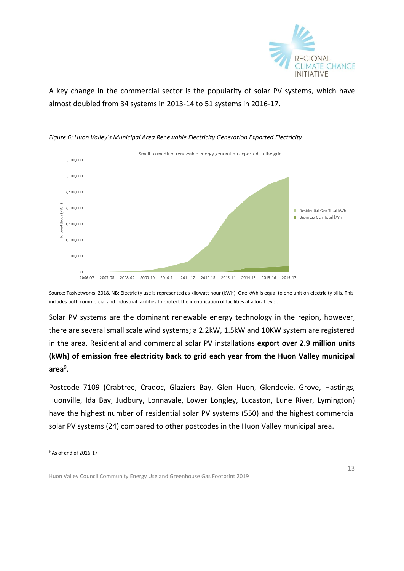

A key change in the commercial sector is the popularity of solar PV systems, which have almost doubled from 34 systems in 2013-14 to 51 systems in 2016-17.



*Figure 6: Huon Valley's Municipal Area Renewable Electricity Generation Exported Electricity* 

Source: TasNetworks, 2018. NB: Electricity use is represented as kilowatt hour (kWh). One kWh is equal to one unit on electricity bills. This includes both commercial and industrial facilities to protect the identification of facilities at a local level.

Solar PV systems are the dominant renewable energy technology in the region, however, there are several small scale wind systems; a 2.2kW, 1.5kW and 10KW system are registered in the area. Residential and commercial solar PV installations **export over 2.9 million units (kWh) of emission free electricity back to grid each year from the Huon Valley municipal area**<sup>9</sup> .

Postcode 7109 (Crabtree, Cradoc, Glaziers Bay, Glen Huon, Glendevie, Grove, Hastings, Huonville, Ida Bay, Judbury, Lonnavale, Lower Longley, Lucaston, Lune River, Lymington) have the highest number of residential solar PV systems (550) and the highest commercial solar PV systems (24) compared to other postcodes in the Huon Valley municipal area.

-

<sup>9</sup> As of end of 2016-17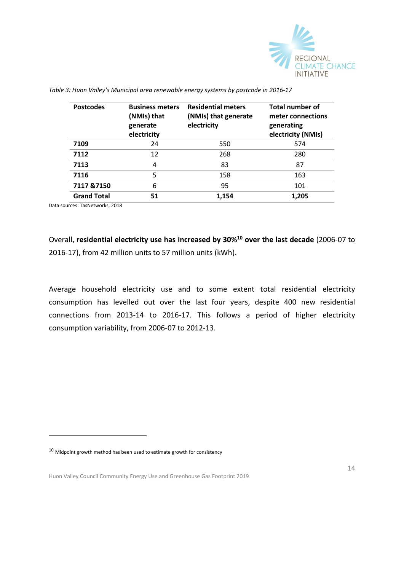

| <b>Postcodes</b>   | <b>Business meters</b><br>(NMIs) that<br>generate<br>electricity | <b>Residential meters</b><br>(NMIs) that generate<br>electricity | <b>Total number of</b><br>meter connections<br>generating<br>electricity (NMIs) |
|--------------------|------------------------------------------------------------------|------------------------------------------------------------------|---------------------------------------------------------------------------------|
| 7109               | 24                                                               | 550                                                              | 574                                                                             |
| 7112               | 12                                                               | 268                                                              | 280                                                                             |
| 7113               | 4                                                                | 83                                                               | 87                                                                              |
| 7116               | 5                                                                | 158                                                              | 163                                                                             |
| 7117 & 7150        | 6                                                                | 95                                                               | 101                                                                             |
| <b>Grand Total</b> | 51                                                               | 1,154                                                            | 1,205                                                                           |

*Table 3: Huon Valley's Municipal area renewable energy systems by postcode in 2016-17*

Data sources: TasNetworks, 2018

-

Overall, **residential electricity use has increased by 30%<sup>10</sup> over the last decade** (2006-07 to 2016-17), from 42 million units to 57 million units (kWh).

Average household electricity use and to some extent total residential electricity consumption has levelled out over the last four years, despite 400 new residential connections from 2013-14 to 2016-17. This follows a period of higher electricity consumption variability, from 2006-07 to 2012-13.

 $10$  Midpoint growth method has been used to estimate growth for consistency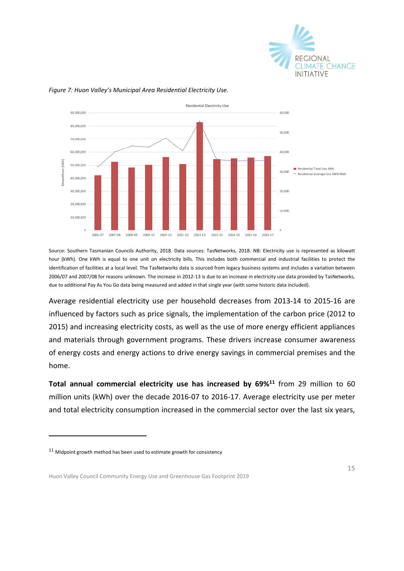



#### *Figure 7: Huon Valley's Municipal Area Residential Electricity Use.*

Source: Southern Tasmanian Councils Authority, 2018. Data sources: TasNetworks, 2018. NB: Electricity use is represented as kilowatt hour (kWh). One kWh is equal to one unit on electricity bills. This includes both commercial and industrial facilities to protect the identification of facilities at a local level. The TasNetworks data is sourced from legacy business systems and includes a variation between 2006/07 and 2007/08 for reasons unknown. The increase in 2012-13 is due to an increase in electricity use data provided by TasNetworks, due to additional Pay As You Go data being measured and added in that single year (with some historic data included).

Average residential electricity use per household decreases from 2013-14 to 2015-16 are influenced by factors such as price signals, the implementation of the carbon price (2012 to 2015) and increasing electricity costs, as well as the use of more energy efficient appliances and materials through government programs. These drivers increase consumer awareness of energy costs and energy actions to drive energy savings in commercial premises and the home.

**Total annual commercial electricity use has increased by 69%<sup>11</sup>** from 29 million to 60 million units (kWh) over the decade 2016-07 to 2016-17. Average electricity use per meter and total electricity consumption increased in the commercial sector over the last six years,

 $11$  Midpoint growth method has been used to estimate growth for consistency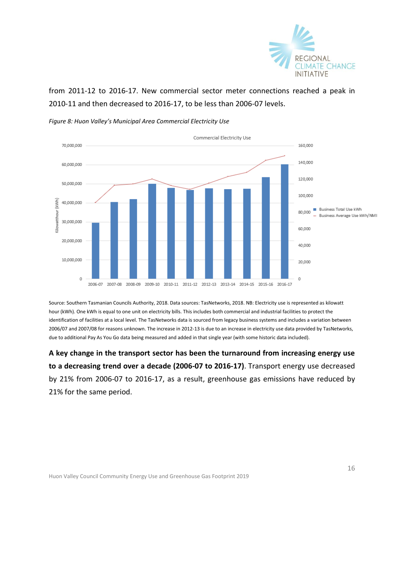

from 2011-12 to 2016-17. New commercial sector meter connections reached a peak in 2010-11 and then decreased to 2016-17, to be less than 2006-07 levels.



*Figure 8: Huon Valley's Municipal Area Commercial Electricity Use*

Source: Southern Tasmanian Councils Authority, 2018. Data sources: TasNetworks, 2018. NB: Electricity use is represented as kilowatt hour (kWh). One kWh is equal to one unit on electricity bills. This includes both commercial and industrial facilities to protect the identification of facilities at a local level. The TasNetworks data is sourced from legacy business systems and includes a variation between 2006/07 and 2007/08 for reasons unknown. The increase in 2012-13 is due to an increase in electricity use data provided by TasNetworks, due to additional Pay As You Go data being measured and added in that single year (with some historic data included).

**A key change in the transport sector has been the turnaround from increasing energy use to a decreasing trend over a decade (2006-07 to 2016-17)**. Transport energy use decreased by 21% from 2006-07 to 2016-17, as a result, greenhouse gas emissions have reduced by 21% for the same period.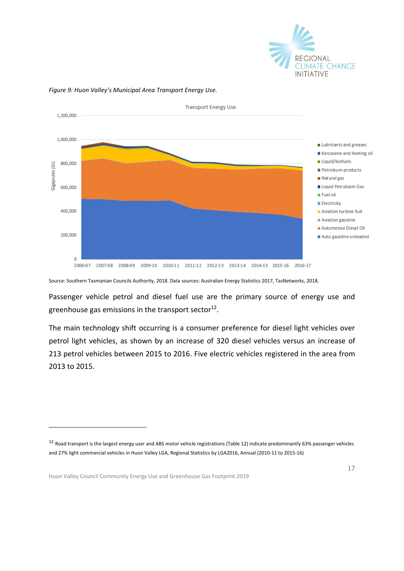



#### *Figure 9: Huon Valley's Municipal Area Transport Energy Use.*

Source: Southern Tasmanian Councils Authority, 2018. Data sources: Australian Energy Statistics 2017, TasNetworks, 2018.

Passenger vehicle petrol and diesel fuel use are the primary source of energy use and greenhouse gas emissions in the transport sector $^{12}$ .

The main technology shift occurring is a consumer preference for diesel light vehicles over petrol light vehicles, as shown by an increase of 320 diesel vehicles versus an increase of 213 petrol vehicles between 2015 to 2016. Five electric vehicles registered in the area from 2013 to 2015.

Huon Valley Council Community Energy Use and Greenhouse Gas Footprint 2019

 $12$  Road transport is the largest energy user and ABS motor vehicle registrations (Table 12) indicate predominantly 63% passenger vehicles and 27% light commercial vehicles in Huon Valley LGA, Regional Statistics by LGA2016, Annual (2010-11 to 2015-16)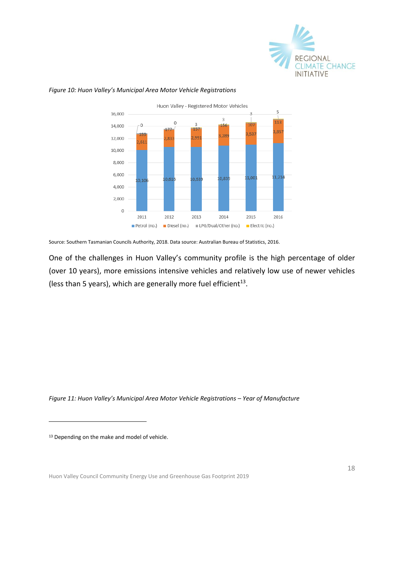



### *Figure 10: Huon Valley's Municipal Area Motor Vehicle Registrations*

Source: Southern Tasmanian Councils Authority, 2018. Data source: Australian Bureau of Statistics, 2016.

One of the challenges in Huon Valley's community profile is the high percentage of older (over 10 years), more emissions intensive vehicles and relatively low use of newer vehicles (less than 5 years), which are generally more fuel efficient $^{13}$ .

*Figure 11: Huon Valley's Municipal Area Motor Vehicle Registrations – Year of Manufacture*

13 Depending on the make and model of vehicle.

-